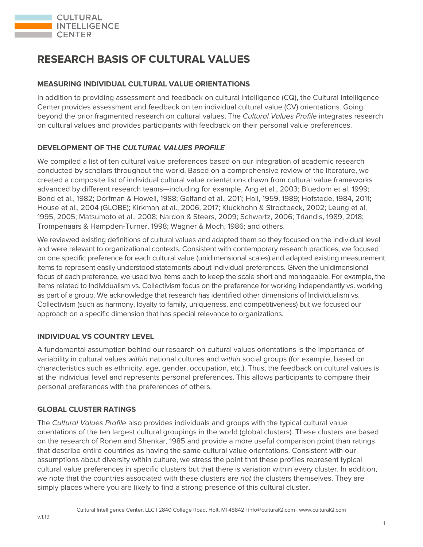

# **RESEARCH BASIS OF CULTURAL VALUES**

#### **MEASURING INDIVIDUAL CULTURAL VALUE ORIENTATIONS**

In addition to providing assessment and feedback on cultural intelligence (CQ), the Cultural Intelligence Center provides assessment and feedback on ten individual cultural value (CV) orientations. Going beyond the prior fragmented research on cultural values, The Cultural Values Profile integrates research on cultural values and provides participants with feedback on their personal value preferences.

## **DEVELOPMENT OF THE CULTURAL VALUES PROFILE**

We compiled a list of ten cultural value preferences based on our integration of academic research conducted by scholars throughout the world. Based on a comprehensive review of the literature, we created a composite list of individual cultural value orientations drawn from cultural value frameworks advanced by different research teams—including for example, Ang et al., 2003; Bluedorn et al, 1999; Bond et al., 1982; Dorfman & Howell, 1988; Gelfand et al., 2011; Hall, 1959, 1989; Hofstede, 1984, 2011; House et al., 2004 (GLOBE); Kirkman et al., 2006, 2017; Kluckhohn & Strodtbeck, 2002; Leung et al, 1995, 2005; Matsumoto et al., 2008; Nardon & Steers, 2009; Schwartz, 2006; Triandis, 1989, 2018; Trompenaars & Hampden-Turner, 1998; Wagner & Moch, 1986; and others.

We reviewed existing definitions of cultural values and adapted them so they focused on the individual level and were relevant to organizational contexts. Consistent with contemporary research practices, we focused on one specific preference for each cultural value (unidimensional scales) and adapted existing measurement items to represent easily understood statements about individual preferences. Given the unidimensional focus of each preference, we used two items each to keep the scale short and manageable. For example, the items related to Individualism vs. Collectivism focus on the preference for working independently vs. working as part of a group. We acknowledge that research has identified other dimensions of Individualism vs. Collectivism (such as harmony, loyalty to family, uniqueness, and competitiveness) but we focused our approach on a specific dimension that has special relevance to organizations.

## **INDIVIDUAL VS COUNTRY LEVEL**

A fundamental assumption behind our research on cultural values orientations is the importance of variability in cultural values within national cultures and within social groups (for example, based on characteristics such as ethnicity, age, gender, occupation, etc.). Thus, the feedback on cultural values is at the individual level and represents personal preferences. This allows participants to compare their personal preferences with the preferences of others.

#### **GLOBAL CLUSTER RATINGS**

The Cultural Values Profile also provides individuals and groups with the typical cultural value orientations of the ten largest cultural groupings in the world (global clusters). These clusters are based on the research of Ronen and Shenkar, 1985 and provide a more useful comparison point than ratings that describe entire countries as having the same cultural value orientations. Consistent with our assumptions about diversity within culture, we stress the point that these profiles represent typical cultural value preferences in specific clusters but that there is variation within every cluster. In addition, we note that the countries associated with these clusters are not the clusters themselves. They are simply places where you are likely to find a strong presence of this cultural cluster.